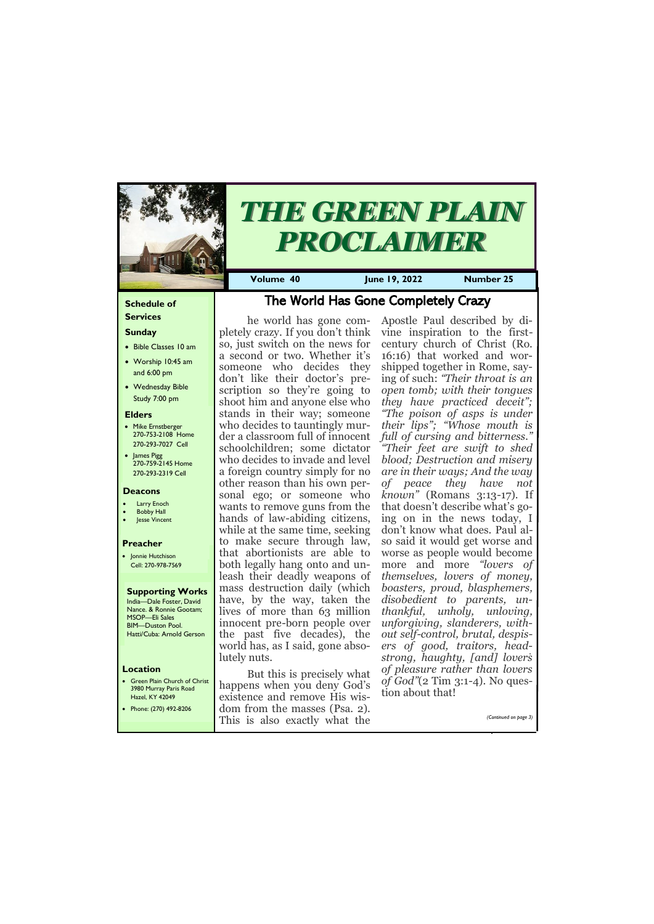#### **Schedule of Services**

# **Sunday**

- Bible Classes 10 am
- Worship 10:45 am and 6:00 pm
- Wednesday Bible Study 7:00 pm

#### **Elders**

- Mike Ernstberger 270-753-2108 Home 270-293-7027 Cell
- James Pigg 270-759-2145 Home 270-293-2319 Cell

#### **Location**

• Jonnie Hutchison Cell: 270-978-7569

• Green Plain Church of Christ 3980 Murray Paris Road Hazel, KY 42049



# *THE GREEN PLAIN PROCLAIMER*

**Volume 40 June 19, 2022 Number 25**

#### **Deacons**

- **Larry Enoch**
- **Bobby Hall**
- **Jesse Vincent**

#### **Preacher**

#### **Supporting Works** India—Dale Foster, David

Nance. & Ronnie Gootam; MSOP—Eli Sales BIM—Duston Pool. Hatti/Cuba: Arnold Gerson The World Has Gone Completely Crazy

he world has gone completely crazy. If you don't think so, just switch on the news for a second or two. Whether it's someone who decides they don't like their doctor's prescription so they're going to shoot him and anyone else who stands in their way; someone who decides to tauntingly murder a classroom full of innocent schoolchildren; some dictator who decides to invade and level a foreign country simply for no other reason than his own personal ego; or someone who wants to remove guns from the hands of law-abiding citizens, while at the same time, seeking to make secure through law, that abortionists are able to both legally hang onto and unleash their deadly weapons of mass destruction daily (which have, by the way, taken the lives of more than 63 million innocent pre-born people over the past five decades), the world has, as I said, gone absolutely nuts.

| 11a2c1, 11112c17      | <b>CABILING AND TUNIOVE THIS WIS</b>         |                       |
|-----------------------|----------------------------------------------|-----------------------|
| Phone: (270) 492-8206 | $\blacksquare$ dom from the masses (Psa. 2). |                       |
|                       | This is also exactly what the                | (Continued on page 3) |
|                       |                                              |                       |

But this is precisely what happens when you deny God's existence and remove His wisApostle Paul described by divine inspiration to the firstcentury church of Christ (Ro. 16:16) that worked and worshipped together in Rome, saying of such: *"Their throat is an open tomb; with their tongues they have practiced deceit"; "The poison of asps is under their lips"; "Whose mouth is full of cursing and bitterness." "Their feet are swift to shed blood; Destruction and misery are in their ways; And the way of peace they have not known"* (Romans 3:13-17). If that doesn't describe what's going on in the news today, I don't know what does. Paul also said it would get worse and worse as people would become more and more *"lovers of themselves, lovers of money, boasters, proud, blasphemers, disobedient to parents, unthankful, unholy, unloving, unforgiving, slanderers, without self-control, brutal, despisers of good, traitors, headstrong, haughty, [and] lovers of pleasure rather than lovers of God"*(2 Tim 3:1-4). No question about that!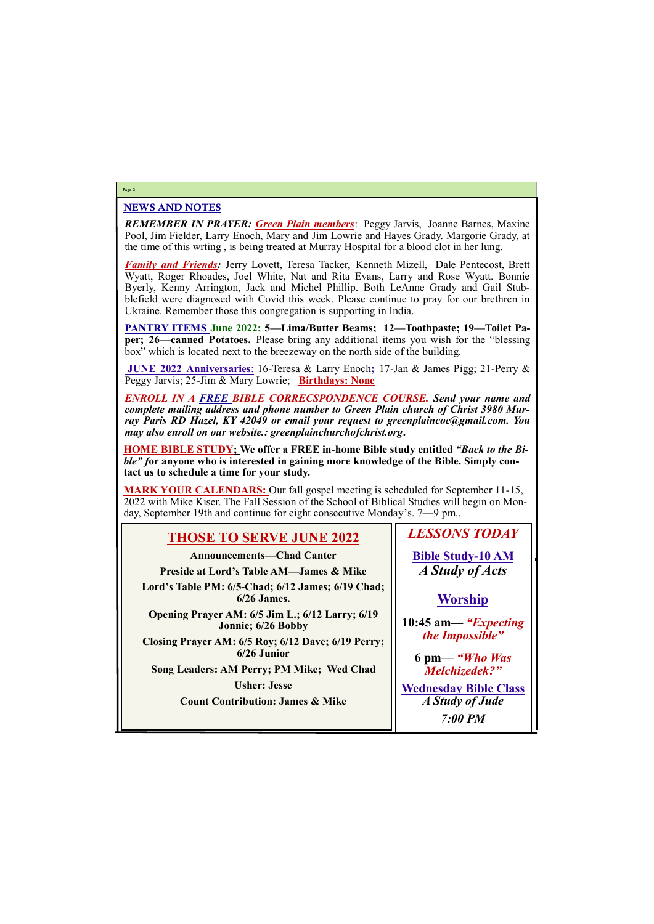# NEWS AND NOTES

*REMEMBER IN PRAYER: Green Plain members*: Peggy Jarvis, Joanne Barnes, Maxine Pool, Jim Fielder, Larry Enoch, Mary and Jim Lowrie and Hayes Grady. Margorie Grady, at the time of this wrting , is being treated at Murray Hospital for a blood clot in her lung.

*Family and Friends:* Jerry Lovett, Teresa Tacker, Kenneth Mizell, Dale Pentecost, Brett Wyatt, Roger Rhoades, Joel White, Nat and Rita Evans, Larry and Rose Wyatt. Bonnie Byerly, Kenny Arrington, Jack and Michel Phillip. Both LeAnne Grady and Gail Stubblefield were diagnosed with Covid this week. Please continue to pray for our brethren in Ukraine. Remember those this congregation is supporting in India.

**PANTRY ITEMS June 2022: 5—Lima/Butter Beams; 12—Toothpaste; 19—Toilet Paper; 26—canned Potatoes.** Please bring any additional items you wish for the "blessing box" which is located next to the breezeway on the north side of the building.

**JUNE 2022 Anniversaries**: 16-Teresa & Larry Enoch**;** 17-Jan & James Pigg; 21-Perry & Peggy Jarvis; 25-Jim & Mary Lowrie; **Birthdays: None**

*ENROLL IN A FREE BIBLE CORRECSPONDENCE COURSE. Send your name and complete mailing address and phone number to Green Plain church of Christ 3980 Murray Paris RD Hazel, KY 42049 or email your request to greenplaincoc@gmail.com. You may also enroll on our website.: greenplainchurchofchrist.org***.**

**HOME BIBLE STUDY; We offer a FREE in-home Bible study entitled** *"Back to the Bible*" for anyone who is interested in gaining more knowledge of the Bible. Simply con**tact us to schedule a time for your study.**

**MARK YOUR CALENDARS:** Our fall gospel meeting is scheduled for September 11-15, 2022 with Mike Kiser. The Fall Session of the School of Biblical Studies will begin on Monday, September 19th and continue for eight consecutive Monday's. 7—9 pm..

#### **Page 2**

| <b>THOSE TO SERVE JUNE 2022</b>                                       | <b>LESSONS TODAY</b>                     |  |
|-----------------------------------------------------------------------|------------------------------------------|--|
| <b>Announcements—Chad Canter</b>                                      | <b>Bible Study-10 AM</b>                 |  |
| <b>Preside at Lord's Table AM—James &amp; Mike</b>                    | A Study of Acts                          |  |
| Lord's Table PM: 6/5-Chad; 6/12 James; 6/19 Chad;<br>$6/26$ James.    | <b>Worship</b>                           |  |
| Opening Prayer AM: 6/5 Jim L.; 6/12 Larry; 6/19<br>Jonnie; 6/26 Bobby | 10:45 am— "Expecting"<br>the Impossible" |  |
| Closing Prayer AM: 6/5 Roy; 6/12 Dave; 6/19 Perry;                    |                                          |  |
| $6/26$ Junior                                                         | 6 pm— "Who Was                           |  |
| Song Leaders: AM Perry; PM Mike; Wed Chad                             | Melchizedek?"                            |  |
| <b>Usher: Jesse</b>                                                   | Wednesday Rihle Class                    |  |

| <b>Count Contribution: James &amp; Mike</b> | A Study of Jude |
|---------------------------------------------|-----------------|
|                                             | <b>7:00 PM</b>  |

**Wednesday Bible Class**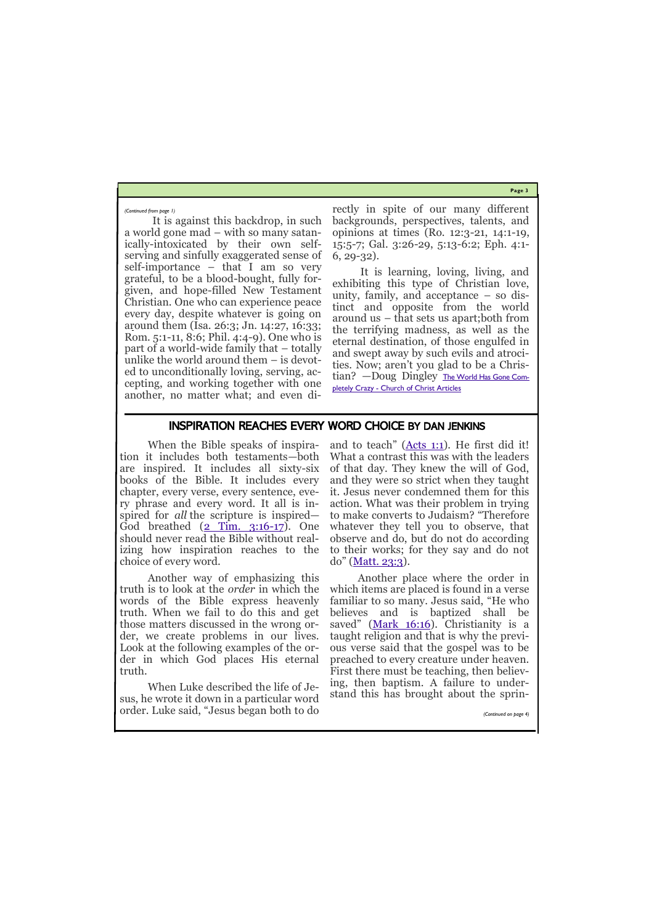**Page 3**

It is against this backdrop, in such a world gone mad – with so many satanically-intoxicated by their own selfserving and sinfully exaggerated sense of self-importance – that I am so very grateful, to be a blood-bought, fully forgiven, and hope-filled New Testament Christian. One who can experience peace every day, despite whatever is going on around them (Isa. 26:3; Jn. 14:27, 16:33; Rom. 5:1-11, 8:6; Phil. 4:4-9). One who is part of a world-wide family that – totally unlike the world around them – is devoted to unconditionally loving, serving, accepting, and working together with one another, no matter what; and even directly in spite of our many different backgrounds, perspectives, talents, and opinions at times (Ro. 12:3-21, 14:1-19, 15:5-7; Gal. 3:26-29, 5:13-6:2; Eph. 4:1- 6, 29-32).

It is learning, loving, living, and exhibiting this type of Christian love, unity, family, and acceptance – so distinct and opposite from the world around us – that sets us apart;both from the terrifying madness, as well as the eternal destination, of those engulfed in and swept away by such evils and atrocities. Now; aren't you glad to be a Christian? —Doug Dingley [The World Has Gone Com](https://churchofchristarticles.com/administrator/the-world-has-gone-completely-crazy/)pletely Crazy - [Church of Christ Articles](https://churchofchristarticles.com/administrator/the-world-has-gone-completely-crazy/)

*(Continued from page 1)*

and to teach" ([Acts 1:1\).](https://biblia.com/bible/esv/Acts%201.1) He first did it! What a contrast this was with the leaders of that day. They knew the will of God, and they were so strict when they taught it. Jesus never condemned them for this action. What was their problem in trying to make converts to Judaism? "Therefore whatever they tell you to observe, that observe and do, but do not do according to their works; for they say and do not do" ([Matt. 23:3\)](https://biblia.com/bible/esv/Matt.%2023.3).

# INSPIRATION REACHES EVERY WORD CHOICE BY DAN JENKINS

When the Bible speaks of inspiration it includes both testaments—both are inspired. It includes all sixty-six books of the Bible. It includes every chapter, every verse, every sentence, every phrase and every word. It all is inspired for *all* the scripture is inspired— God breathed ([2 Tim. 3:16](https://biblia.com/bible/esv/2%20Tim.%203.16-17)-17). One should never read the Bible without realizing how inspiration reaches to the choice of every word.

Another way of emphasizing this truth is to look at the *order* in which the words of the Bible express heavenly truth. When we fail to do this and get those matters discussed in the wrong order, we create problems in our lives. Look at the following examples of the order in which God places His eternal truth.

When Luke described the life of Jesus, he wrote it down in a particular word order. Luke said, "Jesus began both to do

Another place where the order in which items are placed is found in a verse familiar to so many. Jesus said, "He who believes and is baptized shall be saved" ([Mark 16:16\).](https://biblia.com/bible/esv/Mark%2016.16) Christianity is a taught religion and that is why the previous verse said that the gospel was to be preached to every creature under heaven. First there must be teaching, then believing, then baptism. A failure to understand this has brought about the sprin-

*(Continued on page 4)*